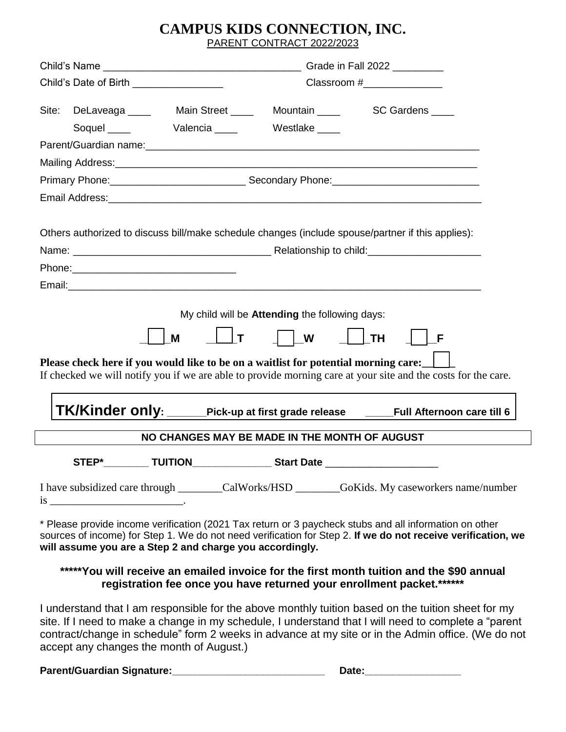### **CAMPUS KIDS CONNECTION, INC.** PARENT CONTRACT 2022/2023

| Child's Date of Birth __________________                                                                                                                                                                                                                                           |  |                                                                                                                |                                                       | Classroom #                                                                                                                                                                                                                    |  |  |  |  |
|------------------------------------------------------------------------------------------------------------------------------------------------------------------------------------------------------------------------------------------------------------------------------------|--|----------------------------------------------------------------------------------------------------------------|-------------------------------------------------------|--------------------------------------------------------------------------------------------------------------------------------------------------------------------------------------------------------------------------------|--|--|--|--|
| Site:                                                                                                                                                                                                                                                                              |  | DeLaveaga _____ Main Street _____ Mountain _____ SC Gardens ____                                               |                                                       |                                                                                                                                                                                                                                |  |  |  |  |
|                                                                                                                                                                                                                                                                                    |  | Soquel Valencia Westlake                                                                                       |                                                       |                                                                                                                                                                                                                                |  |  |  |  |
|                                                                                                                                                                                                                                                                                    |  |                                                                                                                |                                                       | Parent/Guardian name: 1990 and 2001 and 2008 and 2009 and 2009 and 2009 and 2009 and 2009 and 2009 and 2009 and 2009 and 2009 and 2009 and 2009 and 2009 and 2009 and 2009 and 2009 and 2009 and 2009 and 2009 and 2009 and 20 |  |  |  |  |
|                                                                                                                                                                                                                                                                                    |  | Mailing Address: Mail and Mail and Mail and Mailing Address: Mail and Mail and Mail and Mail and Mail and Mail |                                                       |                                                                                                                                                                                                                                |  |  |  |  |
|                                                                                                                                                                                                                                                                                    |  |                                                                                                                |                                                       |                                                                                                                                                                                                                                |  |  |  |  |
|                                                                                                                                                                                                                                                                                    |  |                                                                                                                |                                                       |                                                                                                                                                                                                                                |  |  |  |  |
|                                                                                                                                                                                                                                                                                    |  |                                                                                                                |                                                       | Others authorized to discuss bill/make schedule changes (include spouse/partner if this applies):                                                                                                                              |  |  |  |  |
|                                                                                                                                                                                                                                                                                    |  |                                                                                                                |                                                       |                                                                                                                                                                                                                                |  |  |  |  |
|                                                                                                                                                                                                                                                                                    |  |                                                                                                                |                                                       |                                                                                                                                                                                                                                |  |  |  |  |
|                                                                                                                                                                                                                                                                                    |  |                                                                                                                |                                                       |                                                                                                                                                                                                                                |  |  |  |  |
|                                                                                                                                                                                                                                                                                    |  |                                                                                                                |                                                       |                                                                                                                                                                                                                                |  |  |  |  |
|                                                                                                                                                                                                                                                                                    |  |                                                                                                                | My child will be <b>Attending</b> the following days: |                                                                                                                                                                                                                                |  |  |  |  |
|                                                                                                                                                                                                                                                                                    |  | $\mathsf{T}$<br>M                                                                                              | $\vert$ $\vert$ W                                     | <b>TH</b><br>F                                                                                                                                                                                                                 |  |  |  |  |
| Please check here if you would like to be on a waitlist for potential morning care:<br>If checked we will notify you if we are able to provide morning care at your site and the costs for the care.                                                                               |  |                                                                                                                |                                                       |                                                                                                                                                                                                                                |  |  |  |  |
|                                                                                                                                                                                                                                                                                    |  |                                                                                                                |                                                       | TK/Kinder only: ______Pick-up at first grade release  ____Full Afternoon care till 6                                                                                                                                           |  |  |  |  |
|                                                                                                                                                                                                                                                                                    |  | NO CHANGES MAY BE MADE IN THE MONTH OF AUGUST                                                                  |                                                       |                                                                                                                                                                                                                                |  |  |  |  |
| STEP*                                                                                                                                                                                                                                                                              |  | <b>TUITION</b>                                                                                                 | Start Date ______________________                     |                                                                                                                                                                                                                                |  |  |  |  |
|                                                                                                                                                                                                                                                                                    |  |                                                                                                                |                                                       | I have subsidized care through _________CalWorks/HSD _________GoKids. My caseworkers name/number                                                                                                                               |  |  |  |  |
| * Please provide income verification (2021 Tax return or 3 paycheck stubs and all information on other<br>sources of income) for Step 1. We do not need verification for Step 2. If we do not receive verification, we<br>will assume you are a Step 2 and charge you accordingly. |  |                                                                                                                |                                                       |                                                                                                                                                                                                                                |  |  |  |  |
|                                                                                                                                                                                                                                                                                    |  |                                                                                                                |                                                       | *****You will receive an emailed invoice for the first month tuition and the \$90 annual<br>registration fee once you have returned your enrollment packet.******                                                              |  |  |  |  |

I understand that I am responsible for the above monthly tuition based on the tuition sheet for my site. If I need to make a change in my schedule, I understand that I will need to complete a "parent contract/change in schedule" form 2 weeks in advance at my site or in the Admin office. (We do not accept any changes the month of August.)

**Parent/Guardian Signature:\_\_\_\_\_\_\_\_\_\_\_\_\_\_\_\_\_\_\_\_\_\_\_\_\_\_\_ Date:\_\_\_\_\_\_\_\_\_\_\_\_\_\_\_\_\_**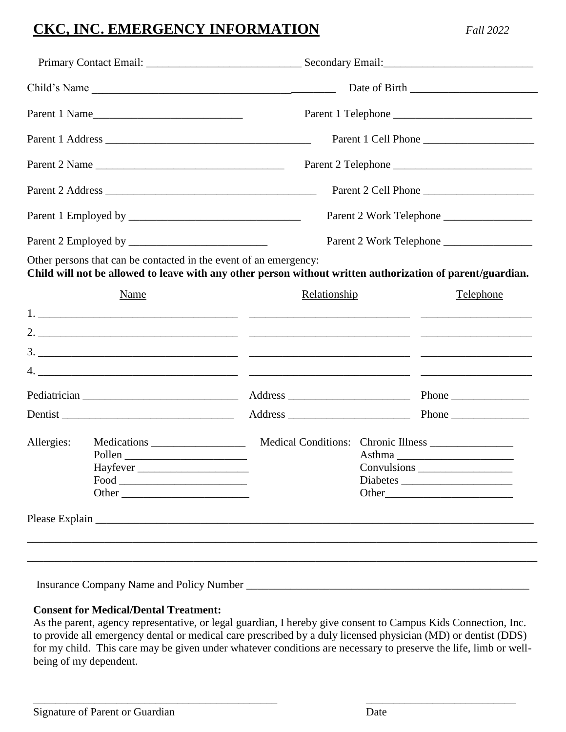### **CKC, INC. EMERGENCY INFORMATION** *Fall 2022*

| Child's Name  |                                                                                                                   |  |                         |  |                                                                                                            |  |
|---------------|-------------------------------------------------------------------------------------------------------------------|--|-------------------------|--|------------------------------------------------------------------------------------------------------------|--|
|               | Parent 1 Name                                                                                                     |  |                         |  |                                                                                                            |  |
|               |                                                                                                                   |  | Parent 1 Cell Phone     |  |                                                                                                            |  |
| Parent 2 Name |                                                                                                                   |  |                         |  |                                                                                                            |  |
|               |                                                                                                                   |  |                         |  |                                                                                                            |  |
|               |                                                                                                                   |  | Parent 2 Work Telephone |  |                                                                                                            |  |
|               |                                                                                                                   |  | Parent 2 Work Telephone |  |                                                                                                            |  |
|               | Other persons that can be contacted in the event of an emergency:                                                 |  |                         |  | Child will not be allowed to leave with any other person without written authorization of parent/guardian. |  |
|               | <b>Name</b>                                                                                                       |  | Relationship            |  | <b>Telephone</b>                                                                                           |  |
|               |                                                                                                                   |  |                         |  |                                                                                                            |  |
|               |                                                                                                                   |  |                         |  |                                                                                                            |  |
|               |                                                                                                                   |  |                         |  |                                                                                                            |  |
|               |                                                                                                                   |  |                         |  |                                                                                                            |  |
|               |                                                                                                                   |  |                         |  |                                                                                                            |  |
| Allergies:    | Pollen<br>Hayfever<br>$\boxed{\text{Food}\xrightarrow{\hspace{0.5cm}}\textcolor{blue}{\textbf{1}}\text{$<br>Other |  |                         |  | Medical Conditions: Chronic Illness __________________<br>Asthma<br>Other                                  |  |
|               |                                                                                                                   |  |                         |  |                                                                                                            |  |
|               |                                                                                                                   |  |                         |  |                                                                                                            |  |
|               |                                                                                                                   |  |                         |  |                                                                                                            |  |

Insurance Company Name and Policy Number \_\_\_\_\_\_\_\_\_\_\_\_\_\_\_\_\_\_\_\_\_\_\_\_\_\_\_\_\_\_\_\_\_\_\_\_\_\_\_\_\_\_\_\_\_\_\_\_\_\_\_

#### **Consent for Medical/Dental Treatment:**

As the parent, agency representative, or legal guardian, I hereby give consent to Campus Kids Connection, Inc. to provide all emergency dental or medical care prescribed by a duly licensed physician (MD) or dentist (DDS) for my child. This care may be given under whatever conditions are necessary to preserve the life, limb or wellbeing of my dependent.

\_\_\_\_\_\_\_\_\_\_\_\_\_\_\_\_\_\_\_\_\_\_\_\_\_\_\_\_\_\_\_\_\_\_\_\_\_\_\_\_\_\_\_\_ \_\_\_\_\_\_\_\_\_\_\_\_\_\_\_\_\_\_\_\_\_\_\_\_\_\_\_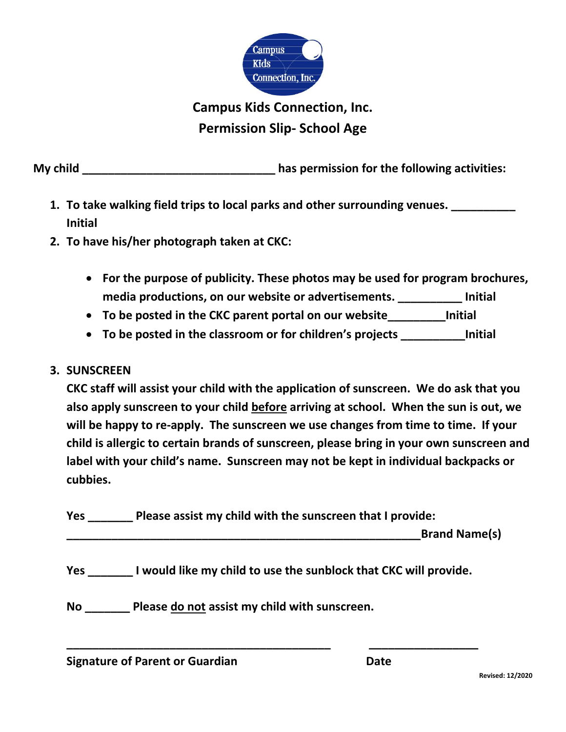

## **Campus Kids Connection, Inc. Permission Slip- School Age**

**My child \_\_\_\_\_\_\_\_\_\_\_\_\_\_\_\_\_\_\_\_\_\_\_\_\_\_\_\_\_\_ has permission for the following activities:**

- **1. To take walking field trips to local parks and other surrounding venues. \_\_\_\_\_\_\_\_\_\_ Initial**
- **2. To have his/her photograph taken at CKC:**
	- **For the purpose of publicity. These photos may be used for program brochures, media productions, on our website or advertisements. \_\_\_\_\_\_\_\_\_\_ Initial**
	- **To be posted in the CKC parent portal on our website\_\_\_\_\_\_\_\_\_Initial**
	- **To be posted in the classroom or for children's projects \_\_\_\_\_\_\_\_\_\_Initial**
- **3. SUNSCREEN**

**CKC staff will assist your child with the application of sunscreen. We do ask that you also apply sunscreen to your child before arriving at school. When the sun is out, we will be happy to re-apply. The sunscreen we use changes from time to time. If your child is allergic to certain brands of sunscreen, please bring in your own sunscreen and label with your child's name. Sunscreen may not be kept in individual backpacks or cubbies.**

| <b>Yes</b> | Please assist my child with the sunscreen that I provide: |                      |  |  |  |
|------------|-----------------------------------------------------------|----------------------|--|--|--|
|            |                                                           | <b>Brand Name(s)</b> |  |  |  |

**Yes \_\_\_\_\_\_\_ I would like my child to use the sunblock that CKC will provide.**

**\_\_\_\_\_\_\_\_\_\_\_\_\_\_\_\_\_\_\_\_\_\_\_\_\_\_\_\_\_\_\_\_\_\_\_\_\_\_\_\_\_ \_\_\_\_\_\_\_\_\_\_\_\_\_\_\_\_\_**

**No \_\_\_\_\_\_\_ Please do not assist my child with sunscreen.**

**Signature of Parent or Guardian Date**